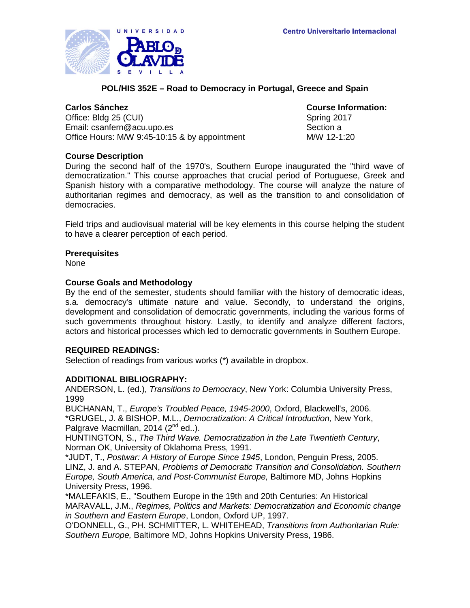

# **POL/HIS 352E – Road to Democracy in Portugal, Greece and Spain**

Office: Bldg 25 (CUI) Spring 2017 Email: csanfern@acu.upo.es Section a Office Hours: M/W 9:45-10:15 & by appointment M/W 12-1:20

**Carlos Sánchez Course Information:**

# **Course Description**

During the second half of the 1970's, Southern Europe inaugurated the "third wave of democratization." This course approaches that crucial period of Portuguese, Greek and Spanish history with a comparative methodology. The course will analyze the nature of authoritarian regimes and democracy, as well as the transition to and consolidation of democracies.

Field trips and audiovisual material will be key elements in this course helping the student to have a clearer perception of each period.

# **Prerequisites**

None

## **Course Goals and Methodology**

By the end of the semester, students should familiar with the history of democratic ideas, s.a. democracy's ultimate nature and value. Secondly, to understand the origins, development and consolidation of democratic governments, including the various forms of such governments throughout history. Lastly, to identify and analyze different factors, actors and historical processes which led to democratic governments in Southern Europe.

# **REQUIRED READINGS:**

Selection of readings from various works (\*) available in dropbox.

# **ADDITIONAL BIBLIOGRAPHY:**

ANDERSON, L. (ed.), *Transitions to Democracy*, New York: Columbia University Press, 1999

BUCHANAN, T., *Europe's Troubled Peace, 1945-2000*, Oxford, Blackwell's, 2006. \*GRUGEL, J. & BISHOP, M.L., *Democratization: A Critical Introduction,* New York, Palgrave Macmillan, 2014  $(2^{nd}$  ed..).

HUNTINGTON, S., *The Third Wave. Democratization in the Late Twentieth Century*, Norman OK, University of Oklahoma Press, 1991.

\*JUDT, T., *[Postwar: A History of Europe Since 1945](http://en.wikipedia.org/wiki/Postwar:_A_History_of_Europe_Since_1945)*, London, Penguin Press, 2005. LINZ, J. and A. STEPAN, *Problems of Democratic Transition and Consolidation. Southern Europe, South America, and Post-Communist Europe,* Baltimore MD, Johns Hopkins University Press, 1996.

\*MALEFAKIS, E., "Southern Europe in the 19th and 20th Centuries: An Historical MARAVALL, J.M., *Regimes, Politics and Markets: Democratization and Economic change in Southern and Eastern Europe*, London, Oxford UP, 1997.

O'DONNELL, G., PH. SCHMITTER, L. WHITEHEAD, *Transitions from Authoritarian Rule: Southern Europe,* Baltimore MD, Johns Hopkins University Press, 1986.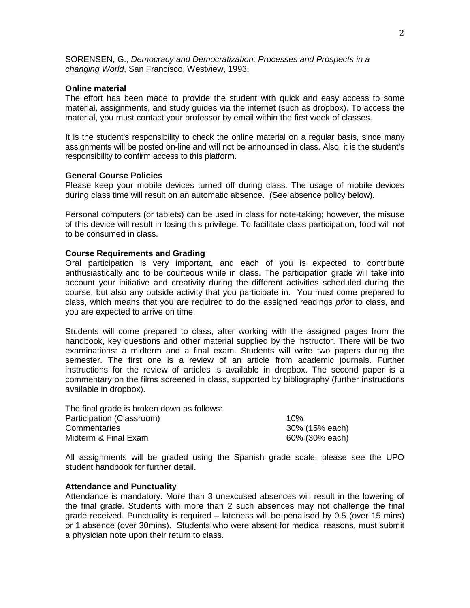SORENSEN, G., *Democracy and Democratization: Processes and Prospects in a changing World*, San Francisco, Westview, 1993.

### **Online material**

The effort has been made to provide the student with quick and easy access to some material, assignments, and study guides via the internet (such as dropbox). To access the material, you must contact your professor by email within the first week of classes.

It is the student's responsibility to check the online material on a regular basis, since many assignments will be posted on-line and will not be announced in class. Also, it is the student's responsibility to confirm access to this platform.

#### **General Course Policies**

Please keep your mobile devices turned off during class. The usage of mobile devices during class time will result on an automatic absence. (See absence policy below).

Personal computers (or tablets) can be used in class for note-taking; however, the misuse of this device will result in losing this privilege. To facilitate class participation, food will not to be consumed in class.

#### **Course Requirements and Grading**

Oral participation is very important, and each of you is expected to contribute enthusiastically and to be courteous while in class. The participation grade will take into account your initiative and creativity during the different activities scheduled during the course, but also any outside activity that you participate in. You must come prepared to class, which means that you are required to do the assigned readings *prior* to class, and you are expected to arrive on time.

Students will come prepared to class, after working with the assigned pages from the handbook, key questions and other material supplied by the instructor. There will be two examinations: a midterm and a final exam. Students will write two papers during the semester. The first one is a review of an article from academic journals. Further instructions for the review of articles is available in dropbox. The second paper is a commentary on the films screened in class, supported by bibliography (further instructions available in dropbox).

The final grade is broken down as follows: Participation (Classroom) 10% Commentaries 30% (15% each) Midterm & Final Exam 60% (30% each)

All assignments will be graded using the Spanish grade scale, please see the UPO student handbook for further detail.

#### **Attendance and Punctuality**

Attendance is mandatory. More than 3 unexcused absences will result in the lowering of the final grade. Students with more than 2 such absences may not challenge the final grade received. Punctuality is required – lateness will be penalised by 0.5 (over 15 mins) or 1 absence (over 30mins). Students who were absent for medical reasons, must submit a physician note upon their return to class.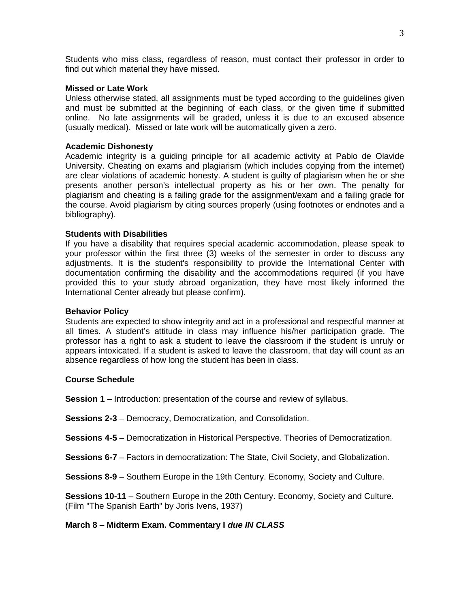Students who miss class, regardless of reason, must contact their professor in order to find out which material they have missed.

## **Missed or Late Work**

Unless otherwise stated, all assignments must be typed according to the guidelines given and must be submitted at the beginning of each class, or the given time if submitted online. No late assignments will be graded, unless it is due to an excused absence (usually medical). Missed or late work will be automatically given a zero.

## **Academic Dishonesty**

Academic integrity is a guiding principle for all academic activity at Pablo de Olavide University. Cheating on exams and plagiarism (which includes copying from the internet) are clear violations of academic honesty. A student is guilty of plagiarism when he or she presents another person's intellectual property as his or her own. The penalty for plagiarism and cheating is a failing grade for the assignment/exam and a failing grade for the course. Avoid plagiarism by citing sources properly (using footnotes or endnotes and a bibliography).

## **Students with Disabilities**

If you have a disability that requires special academic accommodation, please speak to your professor within the first three (3) weeks of the semester in order to discuss any adjustments. It is the student's responsibility to provide the International Center with documentation confirming the disability and the accommodations required (if you have provided this to your study abroad organization, they have most likely informed the International Center already but please confirm).

#### **Behavior Policy**

Students are expected to show integrity and act in a professional and respectful manner at all times. A student's attitude in class may influence his/her participation grade. The professor has a right to ask a student to leave the classroom if the student is unruly or appears intoxicated. If a student is asked to leave the classroom, that day will count as an absence regardless of how long the student has been in class.

# **Course Schedule**

**Session 1** – Introduction: presentation of the course and review of syllabus.

**Sessions 2-3** – Democracy, Democratization, and Consolidation.

**Sessions 4-5** – Democratization in Historical Perspective. Theories of Democratization.

**Sessions 6-7** – Factors in democratization: The State, Civil Society, and Globalization.

**Sessions 8-9** – Southern Europe in the 19th Century. Economy, Society and Culture.

**Sessions 10-11** – Southern Europe in the 20th Century. Economy, Society and Culture. (Film "The Spanish Earth" by Joris Ivens, 1937)

# **March 8** – **Midterm Exam. Commentary I** *due IN CLASS*